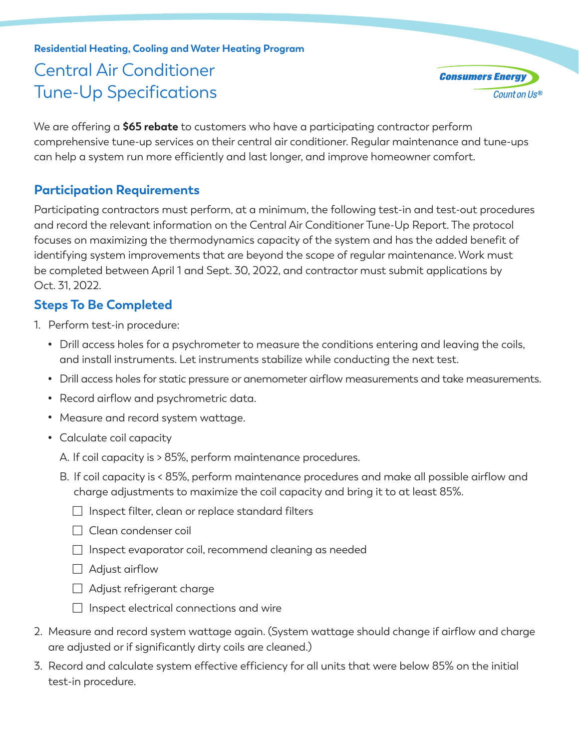# **Residential Heating, Cooling and Water Heating Program** Central Air Conditioner Tune-Up Specifications

**Consumers Energ** Count on Us®

We are offering a **\$65 rebate** to customers who have a participating contractor perform comprehensive tune-up services on their central air conditioner. Regular maintenance and tune-ups can help a system run more efficiently and last longer, and improve homeowner comfort.

## **Participation Requirements**

Participating contractors must perform, at a minimum, the following test-in and test-out procedures and record the relevant information on the Central Air Conditioner Tune-Up Report. The protocol focuses on maximizing the thermodynamics capacity of the system and has the added benefit of identifying system improvements that are beyond the scope of regular maintenance. Work must be completed between April 1 and Sept. 30, 2022, and contractor must submit applications by Oct. 31, 2022.

## **Steps To Be Completed**

- 1. Perform test-in procedure:
	- Drill access holes for a psychrometer to measure the conditions entering and leaving the coils, and install instruments. Let instruments stabilize while conducting the next test.
	- Drill access holes for static pressure or anemometer airflow measurements and take measurements.
	- Record airflow and psychrometric data.
	- Measure and record system wattage.
	- Calculate coil capacity
		- A. If coil capacity is > 85%, perform maintenance procedures.
		- B. If coil capacity is < 85%, perform maintenance procedures and make all possible airflow and charge adjustments to maximize the coil capacity and bring it to at least 85%.
			- $\Box$  Inspect filter, clean or replace standard filters
			- □ Clean condenser coil
			- $\Box$  Inspect evaporator coil, recommend cleaning as needed
			- $\Box$  Adjust airflow
			- Adjust refrigerant charge
			- $\Box$  Inspect electrical connections and wire
- 2. Measure and record system wattage again. (System wattage should change if airflow and charge are adjusted or if significantly dirty coils are cleaned.)
- 3. Record and calculate system effective efficiency for all units that were below 85% on the initial test-in procedure.